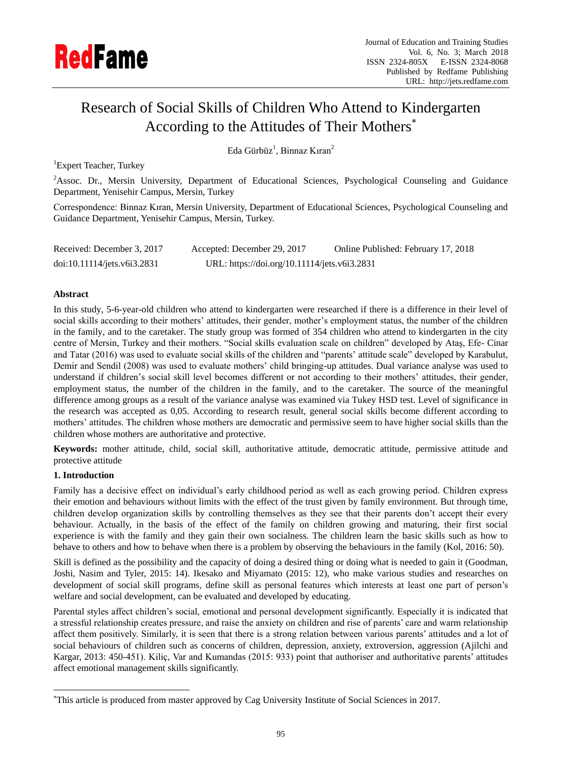

# Research of Social Skills of Children Who Attend to Kindergarten According to the Attitudes of Their Mothers

Eda Gürbüz<sup>1</sup>, Binnaz Kıran<sup>2</sup>

<sup>1</sup>Expert Teacher, Turkey

<sup>2</sup>Assoc. Dr., Mersin University, Department of Educational Sciences, Psychological Counseling and Guidance Department, Yenisehir Campus, Mersin, Turkey

Correspondence: Binnaz Kıran, Mersin University, Department of Educational Sciences, Psychological Counseling and Guidance Department, Yenisehir Campus, Mersin, Turkey.

| Received: December 3, 2017  | Accepted: December 29, 2017                  | Online Published: February 17, 2018 |
|-----------------------------|----------------------------------------------|-------------------------------------|
| doi:10.11114/jets.v6i3.2831 | URL: https://doi.org/10.11114/jets.v6i3.2831 |                                     |

# **Abstract**

In this study, 5-6-year-old children who attend to kindergarten were researched if there is a difference in their level of social skills according to their mothers' attitudes, their gender, mother's employment status, the number of the children in the family, and to the caretaker. The study group was formed of 354 children who attend to kindergarten in the city centre of Mersin, Turkey and their mothers. "Social skills evaluation scale on children" developed by Ataş, Efe- Cinar and Tatar (2016) was used to evaluate social skills of the children and "parents' attitude scale" developed by Karabulut, Demir and Sendil (2008) was used to evaluate mothers' child bringing-up attitudes. Dual variance analyse was used to understand if children's social skill level becomes different or not according to their mothers' attitudes, their gender, employment status, the number of the children in the family, and to the caretaker. The source of the meaningful difference among groups as a result of the variance analyse was examined via Tukey HSD test. Level of significance in the research was accepted as 0,05. According to research result, general social skills become different according to mothers' attitudes. The children whose mothers are democratic and permissive seem to have higher social skills than the children whose mothers are authoritative and protective.

**Keywords:** mother attitude, child, social skill, authoritative attitude, democratic attitude, permissive attitude and protective attitude

# **1. Introduction**

 $\overline{a}$ 

Family has a decisive effect on individual's early childhood period as well as each growing period. Children express their emotion and behaviours without limits with the effect of the trust given by family environment. But through time, children develop organization skills by controlling themselves as they see that their parents don't accept their every behaviour. Actually, in the basis of the effect of the family on children growing and maturing, their first social experience is with the family and they gain their own socialness. The children learn the basic skills such as how to behave to others and how to behave when there is a problem by observing the behaviours in the family (Kol, 2016: 50).

Skill is defined as the possibility and the capacity of doing a desired thing or doing what is needed to gain it (Goodman, Joshi, Nasim and Tyler, 2015: 14). Ikesako and Miyamato (2015: 12), who make various studies and researches on development of social skill programs, define skill as personal features which interests at least one part of person's welfare and social development, can be evaluated and developed by educating.

Parental styles affect children's social, emotional and personal development significantly. Especially it is indicated that a stressful relationship creates pressure, and raise the anxiety on children and rise of parents' care and warm relationship affect them positively. Similarly, it is seen that there is a strong relation between various parents' attitudes and a lot of social behaviours of children such as concerns of children, depression, anxiety, extroversion, aggression (Ajilchi and Kargar, 2013: 450-451). Kiliç, Var and Kumandas (2015: 933) point that authoriser and authoritative parents' attitudes affect emotional management skills significantly.

This article is produced from master approved by Cag University Institute of Social Sciences in 2017.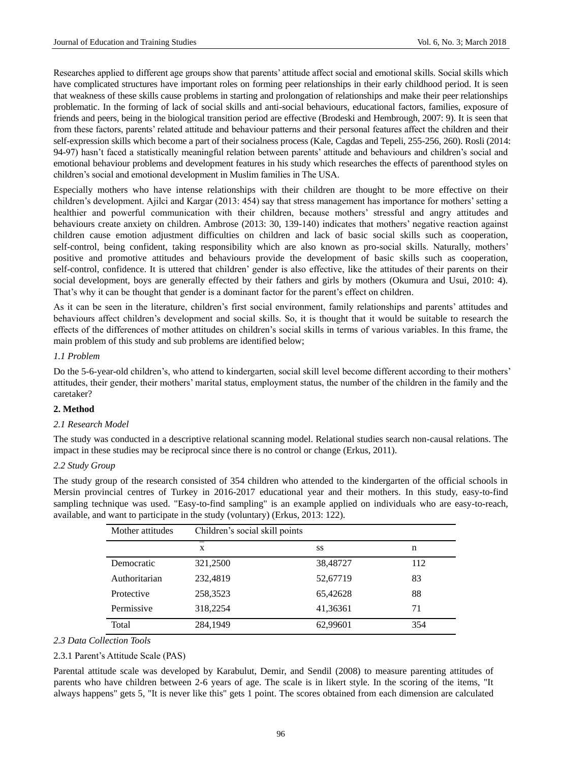Researches applied to different age groups show that parents' attitude affect social and emotional skills. Social skills which have complicated structures have important roles on forming peer relationships in their early childhood period. It is seen that weakness of these skills cause problems in starting and prolongation of relationships and make their peer relationships problematic. In the forming of lack of social skills and anti-social behaviours, educational factors, families, exposure of friends and peers, being in the biological transition period are effective (Brodeski and Hembrough, 2007: 9). It is seen that from these factors, parents' related attitude and behaviour patterns and their personal features affect the children and their self-expression skills which become a part of their socialness process (Kale, Cagdas and Tepeli, 255-256, 260). Rosli (2014: 94-97) hasn't faced a statistically meaningful relation between parents' attitude and behaviours and children's social and emotional behaviour problems and development features in his study which researches the effects of parenthood styles on children's social and emotional development in Muslim families in The USA.

Especially mothers who have intense relationships with their children are thought to be more effective on their children's development. Ajilci and Kargar (2013: 454) say that stress management has importance for mothers' setting a healthier and powerful communication with their children, because mothers' stressful and angry attitudes and behaviours create anxiety on children. Ambrose (2013: 30, 139-140) indicates that mothers' negative reaction against children cause emotion adjustment difficulties on children and lack of basic social skills such as cooperation, self-control, being confident, taking responsibility which are also known as pro-social skills. Naturally, mothers' positive and promotive attitudes and behaviours provide the development of basic skills such as cooperation, self-control, confidence. It is uttered that children' gender is also effective, like the attitudes of their parents on their social development, boys are generally effected by their fathers and girls by mothers (Okumura and Usui, 2010: 4). That's why it can be thought that gender is a dominant factor for the parent's effect on children.

As it can be seen in the literature, children's first social environment, family relationships and parents' attitudes and behaviours affect children's development and social skills. So, it is thought that it would be suitable to research the effects of the differences of mother attitudes on children's social skills in terms of various variables. In this frame, the main problem of this study and sub problems are identified below;

# *1.1 Problem*

Do the 5-6-year-old children's, who attend to kindergarten, social skill level become different according to their mothers' attitudes, their gender, their mothers' marital status, employment status, the number of the children in the family and the caretaker?

# **2. Method**

#### *2.1 Research Model*

The study was conducted in a descriptive relational scanning model. Relational studies search non-causal relations. The impact in these studies may be reciprocal since there is no control or change (Erkus, 2011).

#### *2.2 Study Group*

The study group of the research consisted of 354 children who attended to the kindergarten of the official schools in Mersin provincial centres of Turkey in 2016-2017 educational year and their mothers. In this study, easy-to-find sampling technique was used. "Easy-to-find sampling" is an example applied on individuals who are easy-to-reach, available, and want to participate in the study (voluntary) (Erkus, 2013: 122).

| Mother attitudes | Children's social skill points |          |     |  |  |
|------------------|--------------------------------|----------|-----|--|--|
|                  | X                              | SS       | n   |  |  |
| Democratic       | 321,2500                       | 38,48727 | 112 |  |  |
| Authoritarian    | 232,4819                       | 52,67719 | 83  |  |  |
| Protective       | 258,3523                       | 65,42628 | 88  |  |  |
| Permissive       | 318,2254                       | 41,36361 | 71  |  |  |
| Total            | 284,1949                       | 62,99601 | 354 |  |  |

## *2.3 Data Collection Tools*

#### 2.3.1 Parent's Attitude Scale (PAS)

Parental attitude scale was developed by Karabulut, Demir, and Sendil (2008) to measure parenting attitudes of parents who have children between 2-6 years of age. The scale is in likert style. In the scoring of the items, "It always happens" gets 5, "It is never like this" gets 1 point. The scores obtained from each dimension are calculated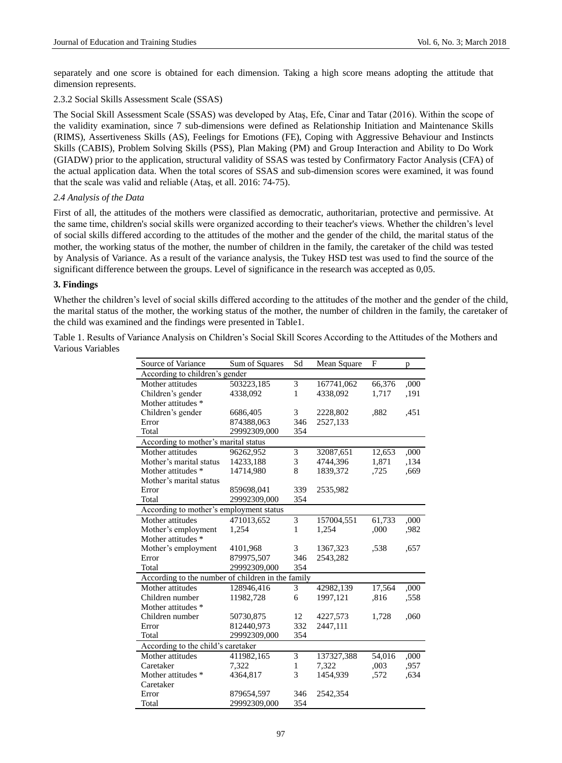separately and one score is obtained for each dimension. Taking a high score means adopting the attitude that dimension represents.

# 2.3.2 Social Skills Assessment Scale (SSAS)

The Social Skill Assessment Scale (SSAS) was developed by Ataş, Efe, Cinar and Tatar (2016). Within the scope of the validity examination, since 7 sub-dimensions were defined as Relationship Initiation and Maintenance Skills (RIMS), Assertiveness Skills (AS), Feelings for Emotions (FE), Coping with Aggressive Behaviour and Instincts Skills (CABIS), Problem Solving Skills (PSS), Plan Making (PM) and Group Interaction and Ability to Do Work (GIADW) prior to the application, structural validity of SSAS was tested by Confirmatory Factor Analysis (CFA) of the actual application data. When the total scores of SSAS and sub-dimension scores were examined, it was found that the scale was valid and reliable (Ataş, et all. 2016: 74-75).

## *2.4 Analysis of the Data*

First of all, the attitudes of the mothers were classified as democratic, authoritarian, protective and permissive. At the same time, children's social skills were organized according to their teacher's views. Whether the children's level of social skills differed according to the attitudes of the mother and the gender of the child, the marital status of the mother, the working status of the mother, the number of children in the family, the caretaker of the child was tested by Analysis of Variance. As a result of the variance analysis, the Tukey HSD test was used to find the source of the significant difference between the groups. Level of significance in the research was accepted as 0,05.

## **3. Findings**

Whether the children's level of social skills differed according to the attitudes of the mother and the gender of the child, the marital status of the mother, the working status of the mother, the number of children in the family, the caretaker of the child was examined and the findings were presented in Table1.

Table 1. Results of Variance Analysis on Children's Social Skill Scores According to the Attitudes of the Mothers and Various Variables

| Source of Variance                                | Sum of Squares | Sd                      | Mean Square | F      | p    |  |  |  |
|---------------------------------------------------|----------------|-------------------------|-------------|--------|------|--|--|--|
| According to children's gender                    |                |                         |             |        |      |  |  |  |
| Mother attitudes                                  | 503223,185     | 3                       | 167741,062  | 66,376 | ,000 |  |  |  |
| Children's gender                                 | 4338,092       | $\mathbf{1}$            | 4338,092    | 1,717  | ,191 |  |  |  |
| Mother attitudes *                                |                |                         |             |        |      |  |  |  |
| Children's gender                                 | 6686,405       | 3                       | 2228,802    | .882   | .451 |  |  |  |
| Error                                             | 874388,063     | 346                     | 2527,133    |        |      |  |  |  |
| Total                                             | 29992309,000   | 354                     |             |        |      |  |  |  |
| According to mother's marital status              |                |                         |             |        |      |  |  |  |
| Mother attitudes                                  | 96262,952      | 3                       | 32087,651   | 12,653 | ,000 |  |  |  |
| Mother's marital status                           | 14233,188      | 3                       | 4744,396    | 1,871  | ,134 |  |  |  |
| Mother attitudes *                                | 14714,980      | 8                       | 1839,372    | ,725   | ,669 |  |  |  |
| Mother's marital status                           |                |                         |             |        |      |  |  |  |
| Error                                             | 859698,041     | 339                     | 2535,982    |        |      |  |  |  |
| Total                                             | 29992309,000   | 354                     |             |        |      |  |  |  |
| According to mother's employment status           |                |                         |             |        |      |  |  |  |
| Mother attitudes                                  | 471013,652     | $\overline{\mathbf{3}}$ | 157004,551  | 61,733 | ,000 |  |  |  |
| Mother's employment                               | 1,254          | $\mathbf{1}$            | 1,254       | ,000   | .982 |  |  |  |
| Mother attitudes *                                |                |                         |             |        |      |  |  |  |
| Mother's employment                               | 4101,968       | 3                       | 1367,323    | .538   | .657 |  |  |  |
| Error                                             | 879975,507     | 346                     | 2543,282    |        |      |  |  |  |
| Total                                             | 29992309,000   | 354                     |             |        |      |  |  |  |
| According to the number of children in the family |                |                         |             |        |      |  |  |  |
| Mother attitudes                                  | 128946.416     | 3                       | 42982,139   | 17,564 | ,000 |  |  |  |
| Children number                                   | 11982,728      | 6                       | 1997,121    | .816   | .558 |  |  |  |
| Mother attitudes *                                |                |                         |             |        |      |  |  |  |
| Children number                                   | 50730,875      | 12                      | 4227,573    | 1,728  | ,060 |  |  |  |
| Error                                             | 812440,973     | 332                     | 2447,111    |        |      |  |  |  |
| Total                                             | 29992309,000   | 354                     |             |        |      |  |  |  |
| According to the child's caretaker                |                |                         |             |        |      |  |  |  |
| Mother attitudes                                  | 411982,165     | 3                       | 137327,388  | 54,016 | ,000 |  |  |  |
| Caretaker                                         | 7,322          | $\mathbf{1}$            | 7,322       | ,003   | .957 |  |  |  |
| Mother attitudes *                                | 4364,817       | 3                       | 1454,939    | ,572   | ,634 |  |  |  |
| Caretaker                                         |                |                         |             |        |      |  |  |  |
| Error                                             | 879654,597     | 346                     | 2542,354    |        |      |  |  |  |
| Total                                             | 29992309,000   | 354                     |             |        |      |  |  |  |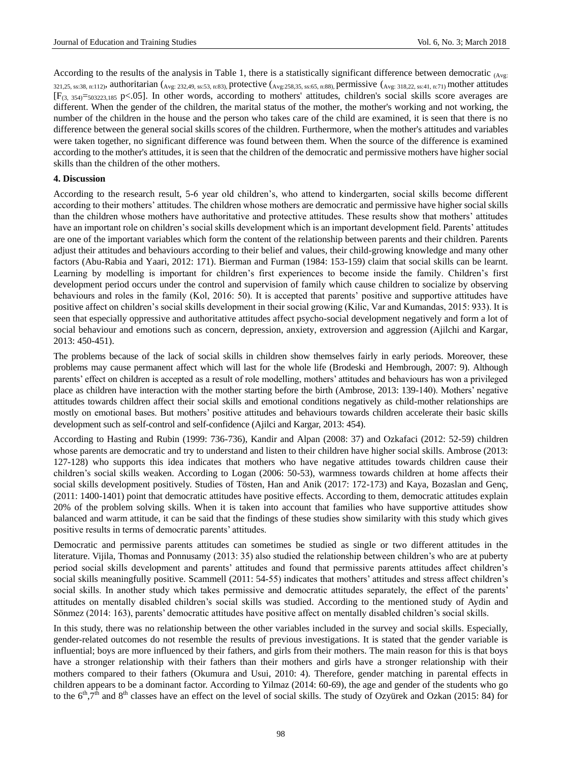According to the results of the analysis in Table 1, there is a statistically significant difference between democratic  $_{(A)}$ 321,25, ss:38, n:112), authoritarian ( $_{Avg: 232,49, ss:53, ns:83}$ ), protective ( $_{Avg: 258,35, ss:65, ns:85}$ ), permissive ( $_{Avg: 318,22, ss:41, n:71}$ ) mother attitudes  $[F_{(3, 354)} = 503223, 185 \text{ p} \le 0.05]$ . In other words, according to mothers' attitudes, children's social skills score averages are different. When the gender of the children, the marital status of the mother, the mother's working and not working, the number of the children in the house and the person who takes care of the child are examined, it is seen that there is no difference between the general social skills scores of the children. Furthermore, when the mother's attitudes and variables were taken together, no significant difference was found between them. When the source of the difference is examined according to the mother's attitudes, it is seen that the children of the democratic and permissive mothers have higher social skills than the children of the other mothers.

## **4. Discussion**

According to the research result, 5-6 year old children's, who attend to kindergarten, social skills become different according to their mothers' attitudes. The children whose mothers are democratic and permissive have higher social skills than the children whose mothers have authoritative and protective attitudes. These results show that mothers' attitudes have an important role on children's social skills development which is an important development field. Parents' attitudes are one of the important variables which form the content of the relationship between parents and their children. Parents adjust their attitudes and behaviours according to their belief and values, their child-growing knowledge and many other factors (Abu-Rabia and Yaari, 2012: 171). Bierman and Furman (1984: 153-159) claim that social skills can be learnt. Learning by modelling is important for children's first experiences to become inside the family. Children's first development period occurs under the control and supervision of family which cause children to socialize by observing behaviours and roles in the family (Kol, 2016: 50). It is accepted that parents' positive and supportive attitudes have positive affect on children's social skills development in their social growing (Kilic, Var and Kumandas, 2015: 933). It is seen that especially oppressive and authoritative attitudes affect psycho-social development negatively and form a lot of social behaviour and emotions such as concern, depression, anxiety, extroversion and aggression (Ajilchi and Kargar, 2013: 450-451).

The problems because of the lack of social skills in children show themselves fairly in early periods. Moreover, these problems may cause permanent affect which will last for the whole life (Brodeski and Hembrough, 2007: 9). Although parents' effect on children is accepted as a result of role modelling, mothers' attitudes and behaviours has won a privileged place as children have interaction with the mother starting before the birth (Ambrose, 2013: 139-140). Mothers' negative attitudes towards children affect their social skills and emotional conditions negatively as child-mother relationships are mostly on emotional bases. But mothers' positive attitudes and behaviours towards children accelerate their basic skills development such as self-control and self-confidence (Ajilci and Kargar, 2013: 454).

According to Hasting and Rubin (1999: 736-736), Kandir and Alpan (2008: 37) and Ozkafaci (2012: 52-59) children whose parents are democratic and try to understand and listen to their children have higher social skills. Ambrose (2013: 127-128) who supports this idea indicates that mothers who have negative attitudes towards children cause their children's social skills weaken. According to Logan (2006: 50-53), warmness towards children at home affects their social skills development positively. Studies of Tösten, Han and Anik (2017: 172-173) and Kaya, Bozaslan and Geng (2011: 1400-1401) point that democratic attitudes have positive effects. According to them, democratic attitudes explain 20% of the problem solving skills. When it is taken into account that families who have supportive attitudes show balanced and warm attitude, it can be said that the findings of these studies show similarity with this study which gives positive results in terms of democratic parents' attitudes.

Democratic and permissive parents attitudes can sometimes be studied as single or two different attitudes in the literature. Vijila, Thomas and Ponnusamy (2013: 35) also studied the relationship between children's who are at puberty period social skills development and parents' attitudes and found that permissive parents attitudes affect children's social skills meaningfully positive. Scammell (2011: 54-55) indicates that mothers' attitudes and stress affect children's social skills. In another study which takes permissive and democratic attitudes separately, the effect of the parents' attitudes on mentally disabled children's social skills was studied. According to the mentioned study of Aydin and Sönmez (2014: 163), parents' democratic attitudes have positive affect on mentally disabled children's social skills.

In this study, there was no relationship between the other variables included in the survey and social skills. Especially, gender-related outcomes do not resemble the results of previous investigations. It is stated that the gender variable is influential; boys are more influenced by their fathers, and girls from their mothers. The main reason for this is that boys have a stronger relationship with their fathers than their mothers and girls have a stronger relationship with their mothers compared to their fathers (Okumura and Usui, 2010: 4). Therefore, gender matching in parental effects in children appears to be a dominant factor. According to Yilmaz (2014: 60-69), the age and gender of the students who go to the  $6<sup>th</sup>$ ,7<sup>th</sup> and 8<sup>th</sup> classes have an effect on the level of social skills. The study of Ozy ürek and Ozkan (2015: 84) for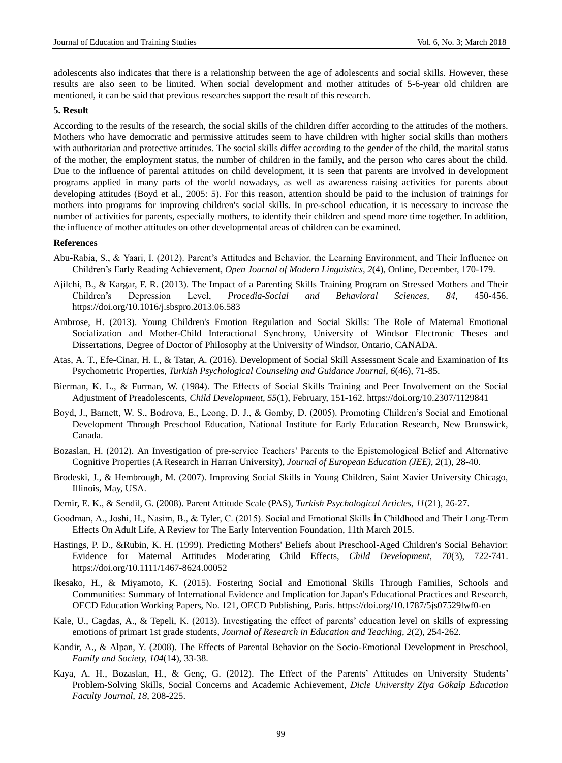adolescents also indicates that there is a relationship between the age of adolescents and social skills. However, these results are also seen to be limited. When social development and mother attitudes of 5-6-year old children are mentioned, it can be said that previous researches support the result of this research.

## **5. Result**

According to the results of the research, the social skills of the children differ according to the attitudes of the mothers. Mothers who have democratic and permissive attitudes seem to have children with higher social skills than mothers with authoritarian and protective attitudes. The social skills differ according to the gender of the child, the marital status of the mother, the employment status, the number of children in the family, and the person who cares about the child. Due to the influence of parental attitudes on child development, it is seen that parents are involved in development programs applied in many parts of the world nowadays, as well as awareness raising activities for parents about developing attitudes (Boyd et al., 2005: 5). For this reason, attention should be paid to the inclusion of trainings for mothers into programs for improving children's social skills. In pre-school education, it is necessary to increase the number of activities for parents, especially mothers, to identify their children and spend more time together. In addition, the influence of mother attitudes on other developmental areas of children can be examined.

#### **References**

- Abu-Rabia, S., & Yaari, I. (2012). Parent's Attitudes and Behavior, the Learning Environment, and Their Influence on Children's Early Reading Achievement, *Open Journal of Modern Linguistics, 2*(4), Online, December, 170-179.
- Ajilchi, B., & Kargar, F. R. (2013). The Impact of a Parenting Skills Training Program on Stressed Mothers and Their Children's Depression Level, *Procedia-Social and Behavioral Sciences, 84*, 450-456. <https://doi.org/10.1016/j.sbspro.2013.06.583>
- Ambrose, H. (2013). Young Children's Emotion Regulation and Social Skills: The Role of Maternal Emotional Socialization and Mother-Child Interactional Synchrony, University of Windsor Electronic Theses and Dissertations, Degree of Doctor of Philosophy at the University of Windsor, Ontario, CANADA.
- Atas, A. T., Efe-Cinar, H. I., & Tatar, A. (2016). Development of Social Skill Assessment Scale and Examination of Its Psychometric Properties, *Turkish Psychological Counseling and Guidance Journal, 6*(46), 71-85.
- Bierman, K. L., & Furman, W. (1984). The Effects of Social Skills Training and Peer Involvement on the Social Adjustment of Preadolescents, *Child Development, 55*(1), February, 151-162. <https://doi.org/10.2307/1129841>
- Boyd, J., Barnett, W. S., Bodrova, E., Leong, D. J., & Gomby, D. (2005). Promoting Children's Social and Emotional Development Through Preschool Education, National Institute for Early Education Research, New Brunswick, Canada.
- Bozaslan, H. (2012). An Investigation of pre-service Teachers' Parents to the Epistemological Belief and Alternative Cognitive Properties (A Research in Harran University), *Journal of European Education (JEE), 2*(1), 28-40.
- Brodeski, J., & Hembrough, M. (2007). Improving Social Skills in Young Children, Saint Xavier University Chicago, Illinois, May, USA.
- Demir, E. K., & Sendil, G. (2008). Parent Attitude Scale (PAS), *Turkish Psychological Articles, 11*(21), 26-27.
- Goodman, A., Joshi, H., Nasim, B., & Tyler, C. (2015). Social and Emotional Skills İn Childhood and Their Long-Term Effects On Adult Life, A Review for The Early Intervention Foundation, 11th March 2015.
- Hastings, P. D., &Rubin, K. H. (1999). Predicting Mothers' Beliefs about Preschool-Aged Children's Social Behavior: Evidence for Maternal Attitudes Moderating Child Effects, *Child Development, 70*(3), 722-741. <https://doi.org/10.1111/1467-8624.00052>
- Ikesako, H., & Miyamoto, K. (2015). Fostering Social and Emotional Skills Through Families, Schools and Communities: Summary of International Evidence and Implication for Japan's Educational Practices and Research, OECD Education Working Papers, No. 121, OECD Publishing, Paris. <https://doi.org/10.1787/5js07529lwf0-en>
- Kale, U., Cagdas, A., & Tepeli, K. (2013). Investigating the effect of parents' education level on skills of expressing emotions of primart 1st grade students, *Journal of Research in Education and Teaching, 2*(2), 254-262.
- Kandir, A., & Alpan, Y. (2008). The Effects of Parental Behavior on the Socio-Emotional Development in Preschool, *Family and Society, 104*(14), 33-38.
- Kaya, A. H., Bozaslan, H., & Genç, G. (2012). The Effect of the Parents' Attitudes on University Students' Problem-Solving Skills, Social Concerns and Academic Achievement, *Dicle University Ziya Gökalp Education Faculty Journal, 18*, 208-225.